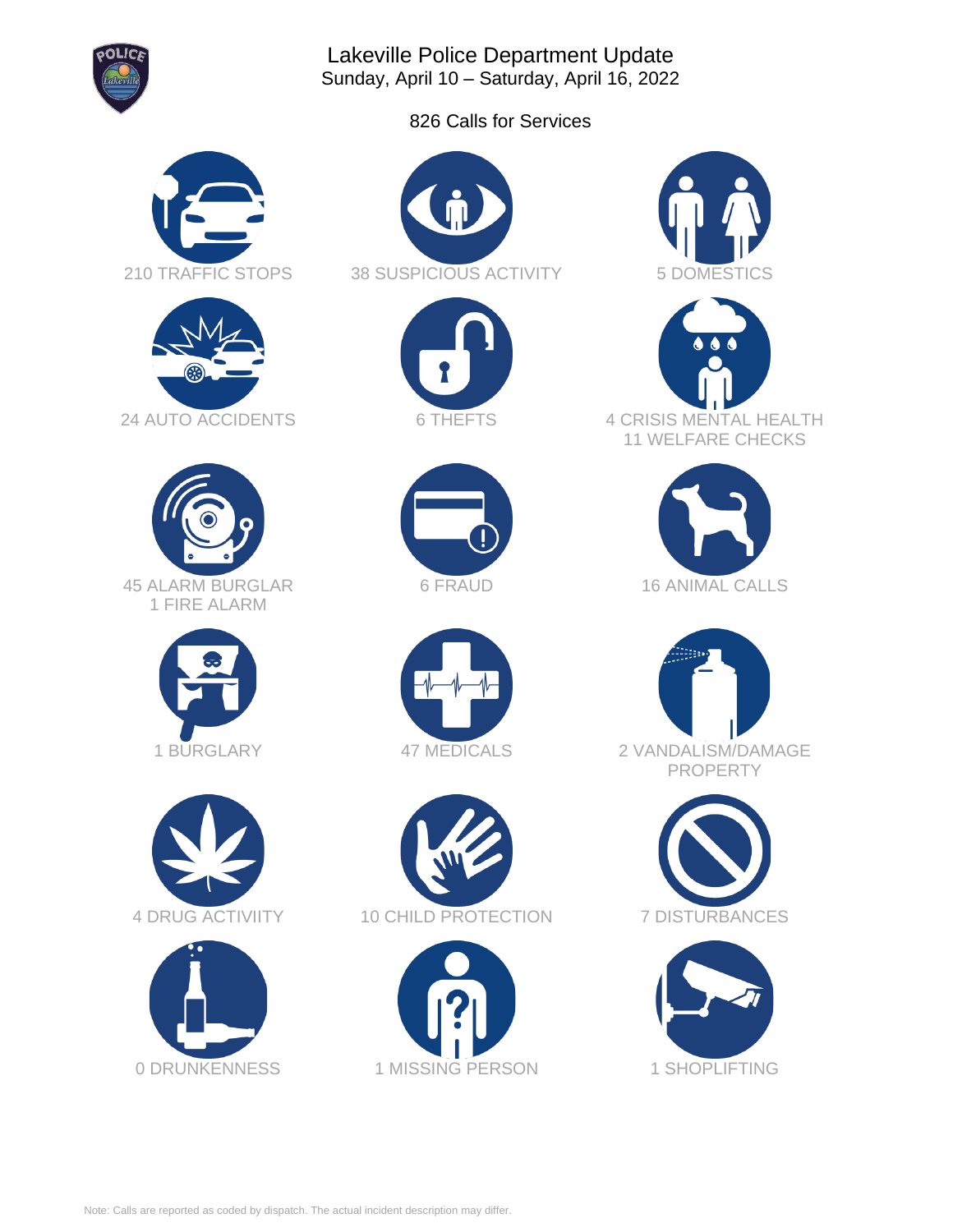

Lakeville Police Department Update Sunday, April 10 – Saturday, April 16, 2022

826 Calls for Services